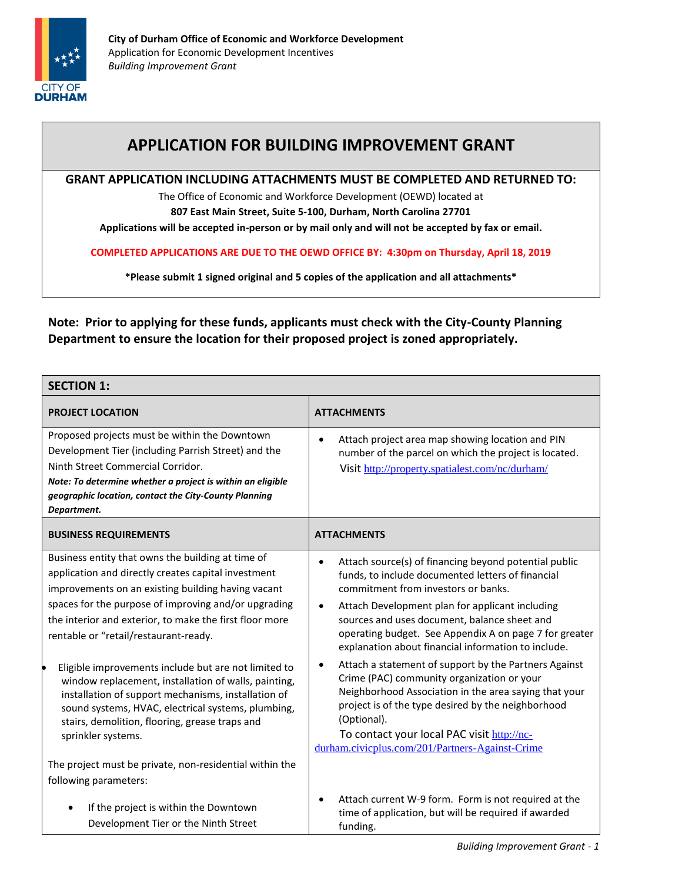

## **APPLICATION FOR BUILDING IMPROVEMENT GRANT**

#### **GRANT APPLICATION INCLUDING ATTACHMENTS MUST BE COMPLETED AND RETURNED TO:**

The Office of Economic and Workforce Development (OEWD) located at

**807 East Main Street, Suite 5-100, Durham, North Carolina 27701**

**Applications will be accepted in-person or by mail only and will not be accepted by fax or email.** 

**COMPLETED APPLICATIONS ARE DUE TO THE OEWD OFFICE BY: 4:30pm on Thursday, April 18, 2019**

**\*Please submit 1 signed original and 5 copies of the application and all attachments\***

**Note: Prior to applying for these funds, applicants must check with the City-County Planning Department to ensure the location for their proposed project is zoned appropriately.**

| <b>SECTION 1:</b>                                                                                                                                                                                                                                                                                                          |                                                                                                                                                                                                                                                                                                                                                                                                 |  |  |
|----------------------------------------------------------------------------------------------------------------------------------------------------------------------------------------------------------------------------------------------------------------------------------------------------------------------------|-------------------------------------------------------------------------------------------------------------------------------------------------------------------------------------------------------------------------------------------------------------------------------------------------------------------------------------------------------------------------------------------------|--|--|
| <b>PROJECT LOCATION</b>                                                                                                                                                                                                                                                                                                    | <b>ATTACHMENTS</b>                                                                                                                                                                                                                                                                                                                                                                              |  |  |
| Proposed projects must be within the Downtown<br>Development Tier (including Parrish Street) and the<br>Ninth Street Commercial Corridor.<br>Note: To determine whether a project is within an eligible<br>geographic location, contact the City-County Planning<br>Department.                                            | Attach project area map showing location and PIN<br>$\bullet$<br>number of the parcel on which the project is located.<br>Visit http://property.spatialest.com/nc/durham/                                                                                                                                                                                                                       |  |  |
| <b>BUSINESS REQUIREMENTS</b>                                                                                                                                                                                                                                                                                               | <b>ATTACHMENTS</b>                                                                                                                                                                                                                                                                                                                                                                              |  |  |
| Business entity that owns the building at time of<br>application and directly creates capital investment<br>improvements on an existing building having vacant<br>spaces for the purpose of improving and/or upgrading<br>the interior and exterior, to make the first floor more<br>rentable or "retail/restaurant-ready. | Attach source(s) of financing beyond potential public<br>$\bullet$<br>funds, to include documented letters of financial<br>commitment from investors or banks.<br>Attach Development plan for applicant including<br>$\bullet$<br>sources and uses document, balance sheet and<br>operating budget. See Appendix A on page 7 for greater<br>explanation about financial information to include. |  |  |
| Eligible improvements include but are not limited to<br>window replacement, installation of walls, painting,<br>installation of support mechanisms, installation of<br>sound systems, HVAC, electrical systems, plumbing,<br>stairs, demolition, flooring, grease traps and<br>sprinkler systems.                          | Attach a statement of support by the Partners Against<br>$\bullet$<br>Crime (PAC) community organization or your<br>Neighborhood Association in the area saying that your<br>project is of the type desired by the neighborhood<br>(Optional).<br>To contact your local PAC visit http://nc-<br>durham.civicplus.com/201/Partners-Against-Crime                                                 |  |  |
| The project must be private, non-residential within the<br>following parameters:                                                                                                                                                                                                                                           |                                                                                                                                                                                                                                                                                                                                                                                                 |  |  |
| If the project is within the Downtown<br>Development Tier or the Ninth Street                                                                                                                                                                                                                                              | Attach current W-9 form. Form is not required at the<br>$\bullet$<br>time of application, but will be required if awarded<br>funding.                                                                                                                                                                                                                                                           |  |  |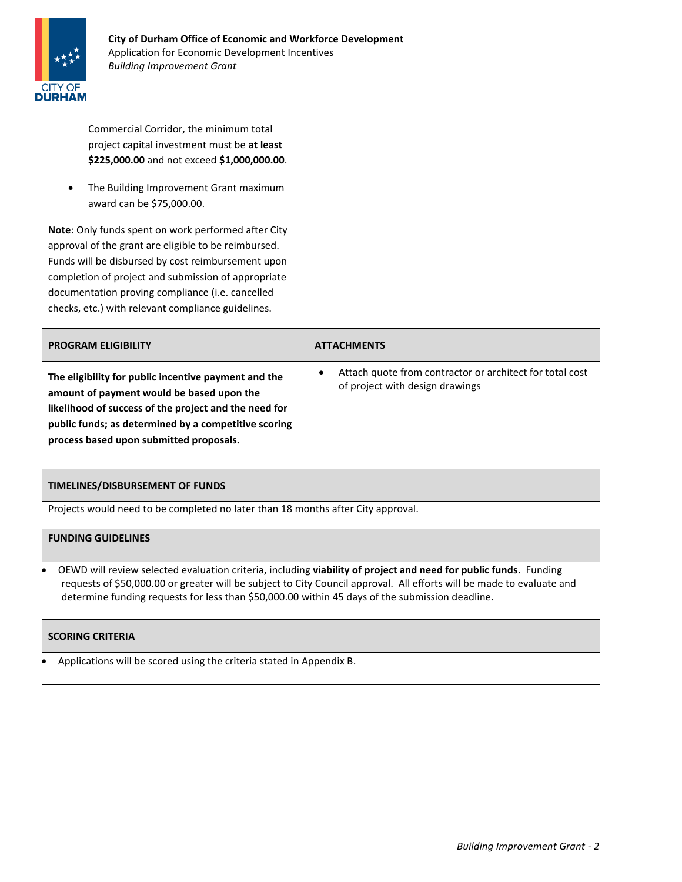

| Commercial Corridor, the minimum total<br>project capital investment must be at least<br>\$225,000.00 and not exceed \$1,000,000.00.<br>The Building Improvement Grant maximum<br>award can be \$75,000.00.<br><b>Note:</b> Only funds spent on work performed after City   |                                                                                                          |  |  |
|-----------------------------------------------------------------------------------------------------------------------------------------------------------------------------------------------------------------------------------------------------------------------------|----------------------------------------------------------------------------------------------------------|--|--|
| approval of the grant are eligible to be reimbursed.<br>Funds will be disbursed by cost reimbursement upon<br>completion of project and submission of appropriate<br>documentation proving compliance (i.e. cancelled<br>checks, etc.) with relevant compliance guidelines. |                                                                                                          |  |  |
| <b>PROGRAM ELIGIBILITY</b>                                                                                                                                                                                                                                                  | <b>ATTACHMENTS</b>                                                                                       |  |  |
| The eligibility for public incentive payment and the<br>amount of payment would be based upon the<br>likelihood of success of the project and the need for<br>public funds; as determined by a competitive scoring<br>process based upon submitted proposals.               | Attach quote from contractor or architect for total cost<br>$\bullet$<br>of project with design drawings |  |  |
| TIMELINES/DISBURSEMENT OF FUNDS                                                                                                                                                                                                                                             |                                                                                                          |  |  |
| Projects would need to be completed no later than 18 months after City approval.                                                                                                                                                                                            |                                                                                                          |  |  |
|                                                                                                                                                                                                                                                                             |                                                                                                          |  |  |
| <b>FUNDING GUIDELINES</b>                                                                                                                                                                                                                                                   |                                                                                                          |  |  |

### **SCORING CRITERIA**

Applications will be scored using the criteria stated in Appendix B.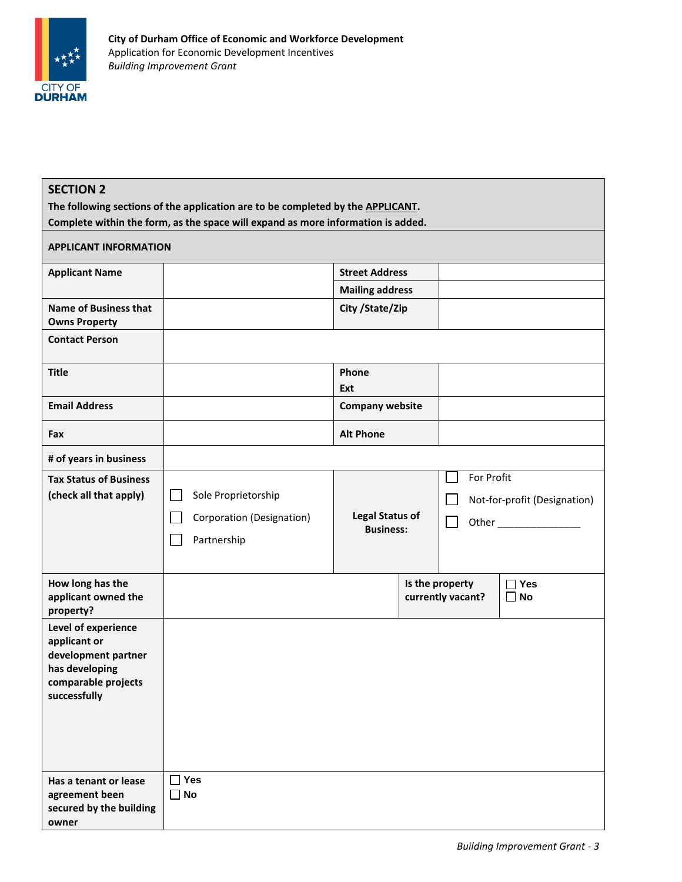

| <b>SECTION 2</b>                                                                 |                   |                                                                                                                                                                                                                                |  |  |
|----------------------------------------------------------------------------------|-------------------|--------------------------------------------------------------------------------------------------------------------------------------------------------------------------------------------------------------------------------|--|--|
| The following sections of the application are to be completed by the APPLICANT.  |                   |                                                                                                                                                                                                                                |  |  |
| Complete within the form, as the space will expand as more information is added. |                   |                                                                                                                                                                                                                                |  |  |
| <b>APPLICANT INFORMATION</b>                                                     |                   |                                                                                                                                                                                                                                |  |  |
| <b>Street Address</b><br><b>Applicant Name</b>                                   |                   |                                                                                                                                                                                                                                |  |  |
| <b>Mailing address</b>                                                           |                   |                                                                                                                                                                                                                                |  |  |
| <b>Name of Business that</b><br>City / State/Zip<br><b>Owns Property</b>         |                   |                                                                                                                                                                                                                                |  |  |
| <b>Contact Person</b>                                                            |                   |                                                                                                                                                                                                                                |  |  |
| <b>Title</b><br>Phone                                                            |                   |                                                                                                                                                                                                                                |  |  |
| Ext                                                                              |                   |                                                                                                                                                                                                                                |  |  |
| <b>Email Address</b><br><b>Company website</b>                                   |                   |                                                                                                                                                                                                                                |  |  |
| <b>Alt Phone</b><br>Fax                                                          |                   |                                                                                                                                                                                                                                |  |  |
| # of years in business                                                           |                   |                                                                                                                                                                                                                                |  |  |
| <b>Tax Status of Business</b>                                                    | For Profit        |                                                                                                                                                                                                                                |  |  |
| (check all that apply)<br>Sole Proprietorship                                    |                   | Not-for-profit (Designation)                                                                                                                                                                                                   |  |  |
| <b>Legal Status of</b><br>Corporation (Designation)                              | $\blacksquare$    | Other and the control of the control of the control of the control of the control of the control of the control of the control of the control of the control of the control of the control of the control of the control of th |  |  |
| <b>Business:</b><br>Partnership                                                  |                   |                                                                                                                                                                                                                                |  |  |
|                                                                                  |                   |                                                                                                                                                                                                                                |  |  |
| How long has the                                                                 | Is the property   | $\Box$ Yes                                                                                                                                                                                                                     |  |  |
| applicant owned the<br>property?                                                 | currently vacant? | <b>No</b><br>$\Box$                                                                                                                                                                                                            |  |  |
| Level of experience                                                              |                   |                                                                                                                                                                                                                                |  |  |
| applicant or                                                                     |                   |                                                                                                                                                                                                                                |  |  |
| development partner<br>has developing                                            |                   |                                                                                                                                                                                                                                |  |  |
| comparable projects                                                              |                   |                                                                                                                                                                                                                                |  |  |
| successfully                                                                     |                   |                                                                                                                                                                                                                                |  |  |
|                                                                                  |                   |                                                                                                                                                                                                                                |  |  |
|                                                                                  |                   |                                                                                                                                                                                                                                |  |  |
|                                                                                  |                   |                                                                                                                                                                                                                                |  |  |
| $\Box$ Yes<br>Has a tenant or lease                                              |                   |                                                                                                                                                                                                                                |  |  |
| <b>No</b><br>agreement been<br>$\perp$                                           |                   |                                                                                                                                                                                                                                |  |  |
| secured by the building<br>owner                                                 |                   |                                                                                                                                                                                                                                |  |  |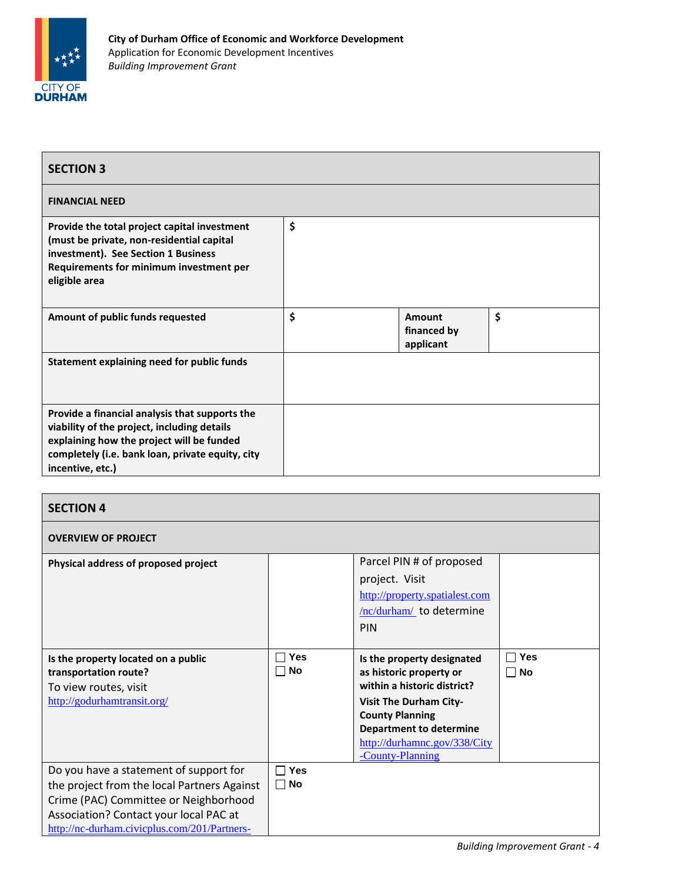

| <b>SECTION 3</b>                                                                                                                                                                                                   |                                          |    |
|--------------------------------------------------------------------------------------------------------------------------------------------------------------------------------------------------------------------|------------------------------------------|----|
| <b>FINANCIAL NEED</b>                                                                                                                                                                                              |                                          |    |
| Provide the total project capital investment<br>(must be private, non-residential capital<br>investment). See Section 1 Business<br>Requirements for minimum investment per<br>eligible area                       | \$                                       |    |
| Amount of public funds requested                                                                                                                                                                                   | \$<br>Amount<br>financed by<br>applicant | \$ |
| Statement explaining need for public funds                                                                                                                                                                         |                                          |    |
| Provide a financial analysis that supports the<br>viability of the project, including details<br>explaining how the project will be funded<br>completely (i.e. bank loan, private equity, city<br>incentive, etc.) |                                          |    |

#### **SECTION 4 OVERVIEW OF PROJECT Physical address of proposed project** Parcel PIN # of proposed project. Visit [http://property.spatialest.com](http://property.spatialest.com/nc/durham/) [/nc/durham/](http://property.spatialest.com/nc/durham/) to determine PIN **Is the property located on a public transportation route?** To view routes, visit <http://godurhamtransit.org/> **Yes No Is the property designated as historic property or within a historic district? Visit The Durham City-County Planning Department to determine**  [http://durhamnc.gov/338/City](http://durhamnc.gov/338/City-County-Planning) [-County-Planning](http://durhamnc.gov/338/City-County-Planning) **Yes No** Do you have a statement of support for the project from the local Partners Against Crime (PAC) Committee or Neighborhood Association? Contact your local PAC at [http://nc-durham.civicplus.com/201/Partners-](http://nc-durham.civicplus.com/201/Partners-Against-Crime)**Yes No**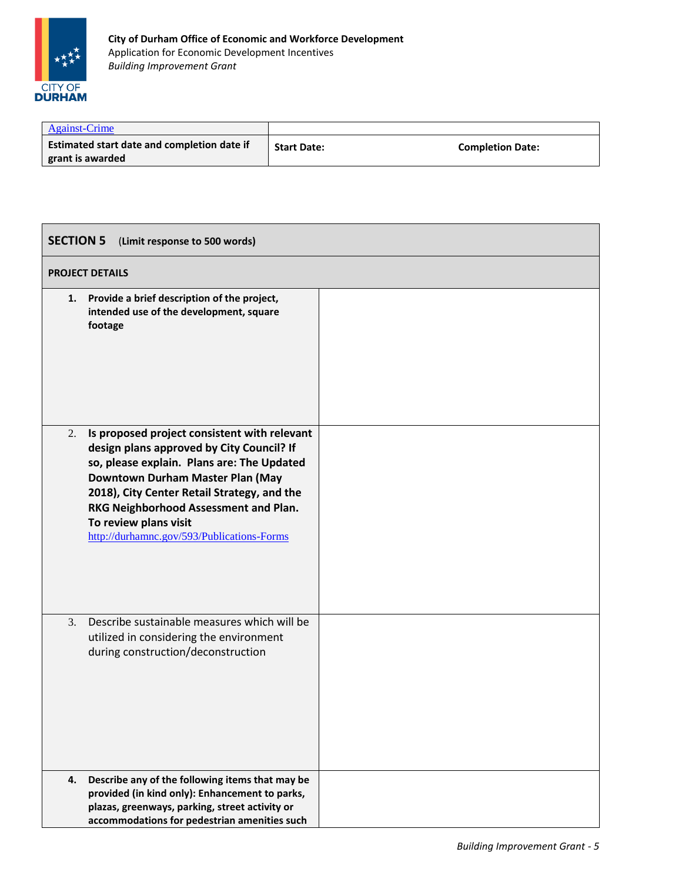

| <b>Against-Crime</b>                                                   |                    |                         |
|------------------------------------------------------------------------|--------------------|-------------------------|
| <b>Estimated start date and completion date if</b><br>grant is awarded | <b>Start Date:</b> | <b>Completion Date:</b> |

| <b>SECTION 5</b><br>(Limit response to 500 words)                                                                                                                                                                                                                                                                                                |  |  |  |
|--------------------------------------------------------------------------------------------------------------------------------------------------------------------------------------------------------------------------------------------------------------------------------------------------------------------------------------------------|--|--|--|
| <b>PROJECT DETAILS</b>                                                                                                                                                                                                                                                                                                                           |  |  |  |
| Provide a brief description of the project,<br>1.<br>intended use of the development, square<br>footage                                                                                                                                                                                                                                          |  |  |  |
| Is proposed project consistent with relevant<br>2.<br>design plans approved by City Council? If<br>so, please explain. Plans are: The Updated<br>Downtown Durham Master Plan (May<br>2018), City Center Retail Strategy, and the<br>RKG Neighborhood Assessment and Plan.<br>To review plans visit<br>http://durhamnc.gov/593/Publications-Forms |  |  |  |
| Describe sustainable measures which will be<br>3.<br>utilized in considering the environment<br>during construction/deconstruction                                                                                                                                                                                                               |  |  |  |
| Describe any of the following items that may be<br>4.<br>provided (in kind only): Enhancement to parks,<br>plazas, greenways, parking, street activity or<br>accommodations for pedestrian amenities such                                                                                                                                        |  |  |  |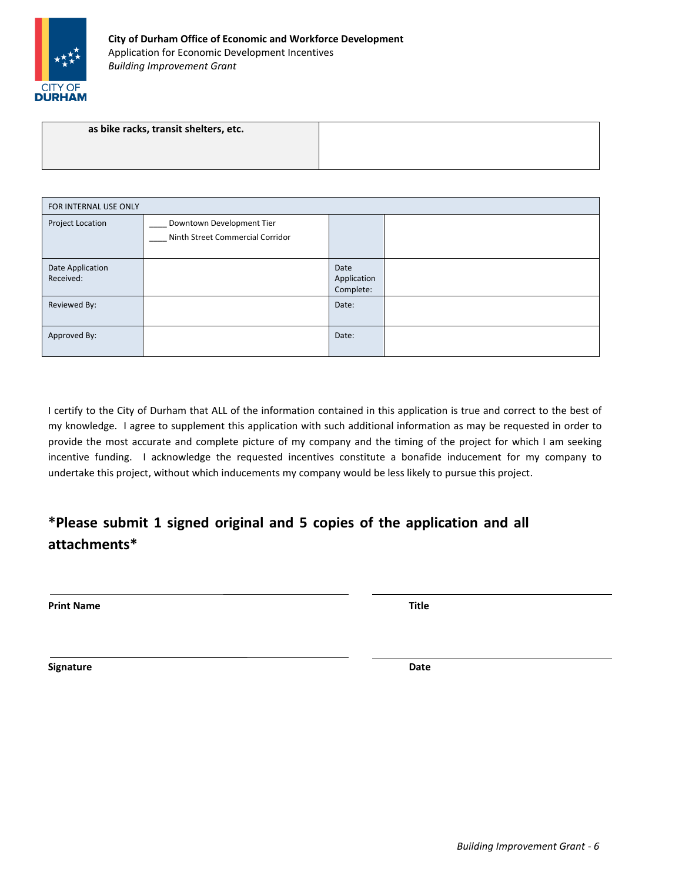

| as bike racks, transit shelters, etc. |  |
|---------------------------------------|--|
|                                       |  |
|                                       |  |

| FOR INTERNAL USE ONLY         |                                                               |                                  |  |
|-------------------------------|---------------------------------------------------------------|----------------------------------|--|
| Project Location              | Downtown Development Tier<br>Ninth Street Commercial Corridor |                                  |  |
| Date Application<br>Received: |                                                               | Date<br>Application<br>Complete: |  |
| Reviewed By:                  |                                                               | Date:                            |  |
| Approved By:                  |                                                               | Date:                            |  |

I certify to the City of Durham that ALL of the information contained in this application is true and correct to the best of my knowledge. I agree to supplement this application with such additional information as may be requested in order to provide the most accurate and complete picture of my company and the timing of the project for which I am seeking incentive funding. I acknowledge the requested incentives constitute a bonafide inducement for my company to undertake this project, without which inducements my company would be less likely to pursue this project.

## **\*Please submit 1 signed original and 5 copies of the application and all attachments\***

**Print Name Title**

**Signature Date**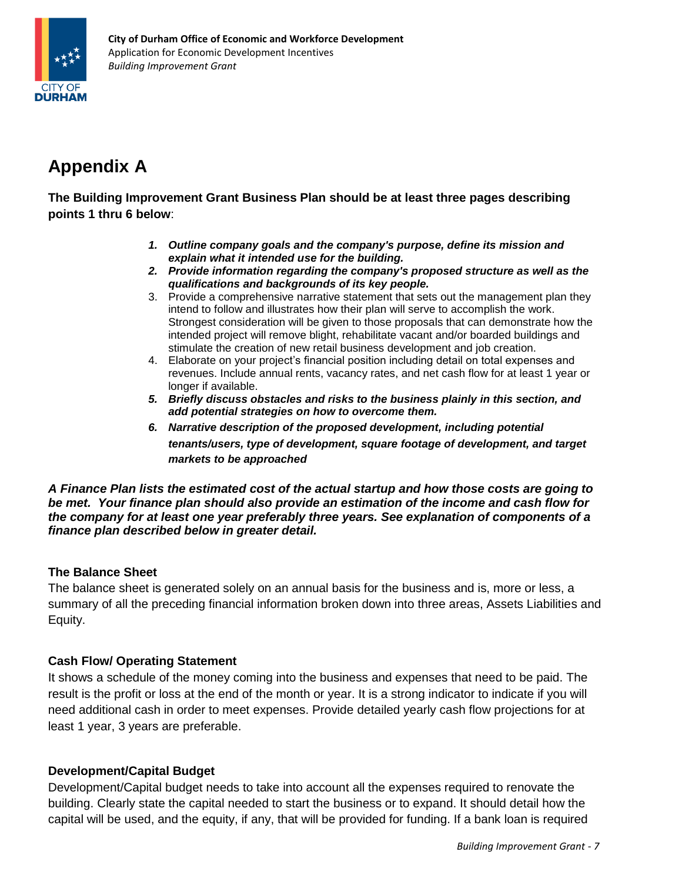

# **Appendix A**

**The Building Improvement Grant Business Plan should be at least three pages describing points 1 thru 6 below**:

- *1. Outline company goals and the company's purpose, define its mission and explain what it intended use for the building.*
- *2. Provide information regarding the company's proposed structure as well as the qualifications and backgrounds of its key people.*
- 3. Provide a comprehensive narrative statement that sets out the management plan they intend to follow and illustrates how their plan will serve to accomplish the work. Strongest consideration will be given to those proposals that can demonstrate how the intended project will remove blight, rehabilitate vacant and/or boarded buildings and stimulate the creation of new retail business development and job creation.
- 4. Elaborate on your project's financial position including detail on total expenses and revenues. Include annual rents, vacancy rates, and net cash flow for at least 1 year or longer if available.
- *5. Briefly discuss obstacles and risks to the business plainly in this section, and add potential strategies on how to overcome them.*
- *6. Narrative description of the proposed development, including potential tenants/users, type of development, square footage of development, and target markets to be approached*

*A Finance Plan lists the estimated cost of the actual startup and how those costs are going to be met. Your finance plan should also provide an estimation of the income and cash flow for the company for at least one year preferably three years. See explanation of components of a finance plan described below in greater detail.*

### **The Balance Sheet**

The balance sheet is generated solely on an annual basis for the business and is, more or less, a summary of all the preceding financial information broken down into three areas, Assets Liabilities and Equity.

### **Cash Flow/ Operating Statement**

It shows a schedule of the money coming into the business and expenses that need to be paid. The result is the profit or loss at the end of the month or year. It is a strong indicator to indicate if you will need additional cash in order to meet expenses. Provide detailed yearly cash flow projections for at least 1 year, 3 years are preferable.

### **Development/Capital Budget**

Development/Capital budget needs to take into account all the expenses required to renovate the building. Clearly state the capital needed to start the business or to expand. It should detail how the capital will be used, and the equity, if any, that will be provided for funding. If a bank loan is required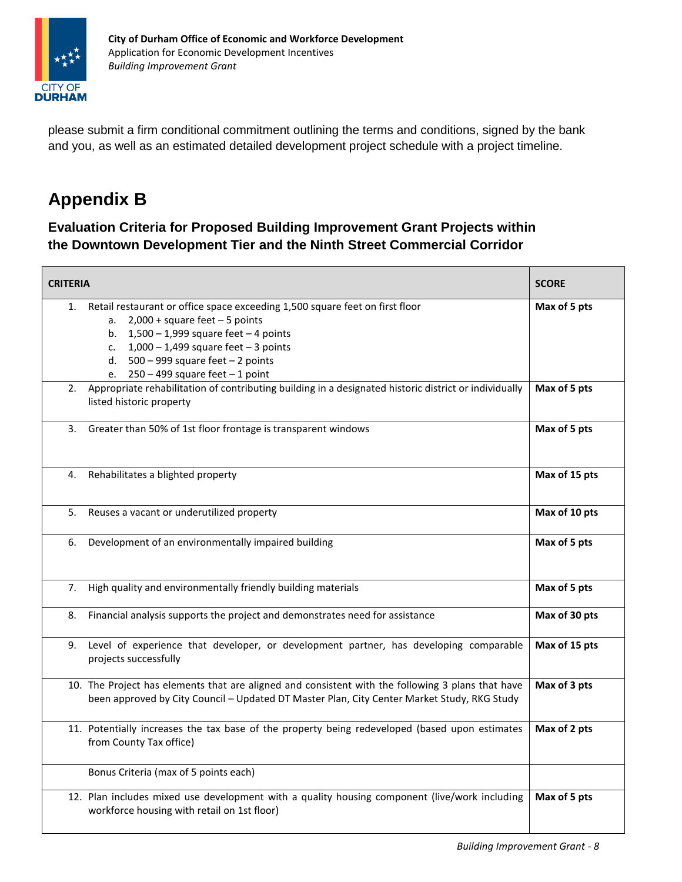

please submit a firm conditional commitment outlining the terms and conditions, signed by the bank and you, as well as an estimated detailed development project schedule with a project timeline.

# **Appendix B**

**Evaluation Criteria for Proposed Building Improvement Grant Projects within the Downtown Development Tier and the Ninth Street Commercial Corridor**

| <b>CRITERIA</b>                                                                                                                                                                                                                                                                                        | <b>SCORE</b>  |
|--------------------------------------------------------------------------------------------------------------------------------------------------------------------------------------------------------------------------------------------------------------------------------------------------------|---------------|
| Retail restaurant or office space exceeding 1,500 square feet on first floor<br>1.<br>a. $2,000 + square feet - 5 points$<br>b. $1,500 - 1,999$ square feet - 4 points<br>c. $1,000 - 1,499$ square feet - 3 points<br>d. $500 - 999$ square feet $-2$ points<br>e. $250 - 499$ square feet $-1$ point | Max of 5 pts  |
| Appropriate rehabilitation of contributing building in a designated historic district or individually<br>2.<br>listed historic property                                                                                                                                                                | Max of 5 pts  |
| Greater than 50% of 1st floor frontage is transparent windows<br>3.                                                                                                                                                                                                                                    | Max of 5 pts  |
| Rehabilitates a blighted property<br>4.                                                                                                                                                                                                                                                                | Max of 15 pts |
| Reuses a vacant or underutilized property<br>5.                                                                                                                                                                                                                                                        | Max of 10 pts |
| Development of an environmentally impaired building<br>6.                                                                                                                                                                                                                                              | Max of 5 pts  |
| High quality and environmentally friendly building materials<br>7.                                                                                                                                                                                                                                     | Max of 5 pts  |
| Financial analysis supports the project and demonstrates need for assistance<br>8.                                                                                                                                                                                                                     | Max of 30 pts |
| 9. Level of experience that developer, or development partner, has developing comparable<br>projects successfully                                                                                                                                                                                      | Max of 15 pts |
| 10. The Project has elements that are aligned and consistent with the following 3 plans that have<br>been approved by City Council - Updated DT Master Plan, City Center Market Study, RKG Study                                                                                                       | Max of 3 pts  |
| 11. Potentially increases the tax base of the property being redeveloped (based upon estimates<br>from County Tax office)                                                                                                                                                                              | Max of 2 pts  |
| Bonus Criteria (max of 5 points each)                                                                                                                                                                                                                                                                  |               |
| 12. Plan includes mixed use development with a quality housing component (live/work including<br>workforce housing with retail on 1st floor)                                                                                                                                                           | Max of 5 pts  |